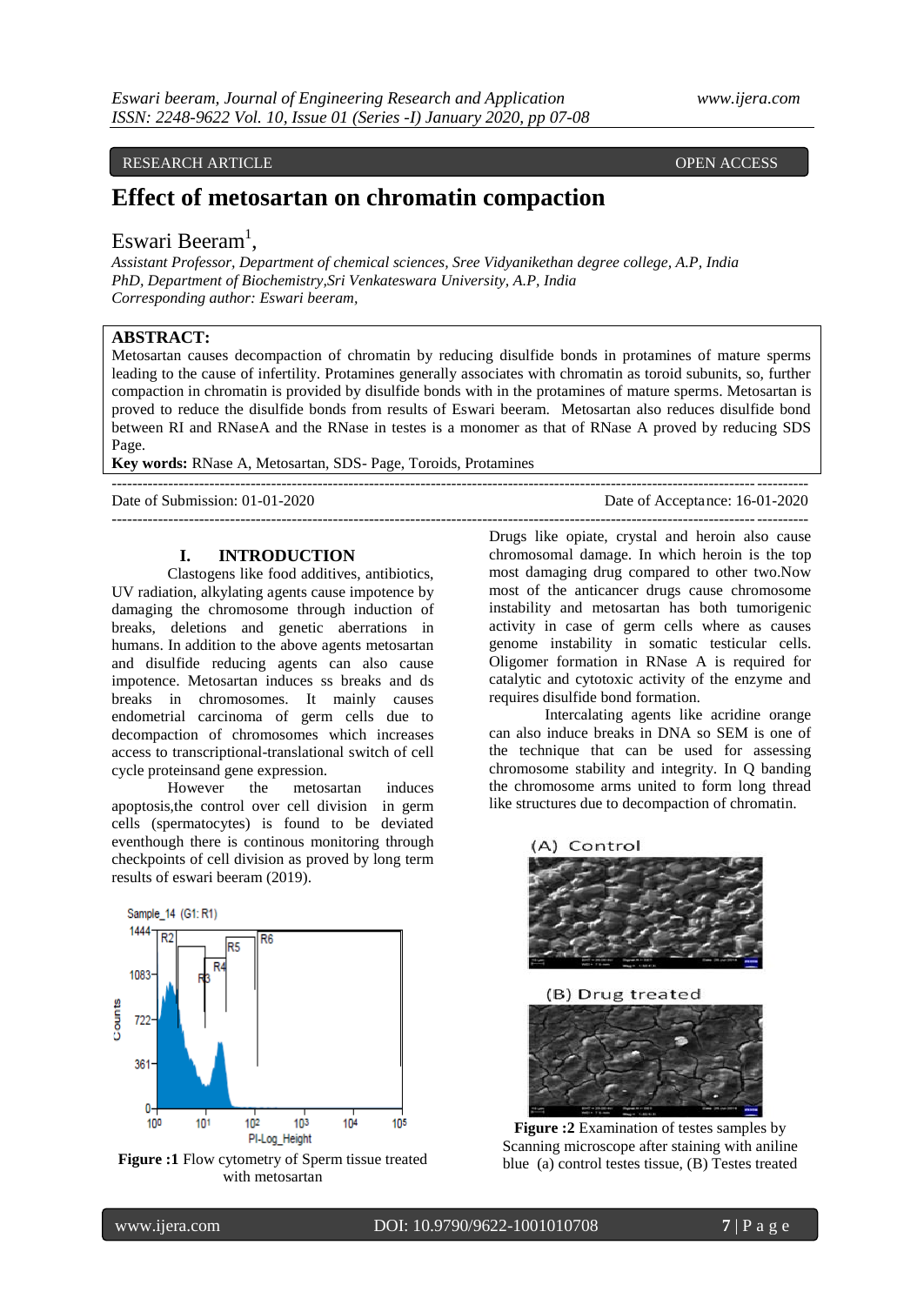#### RESEARCH ARTICLE **CONTRACTES AND LOCAL CONTRACTES** OPEN ACCESS

## **Effect of metosartan on chromatin compaction**

# Eswari Beeram<sup>1</sup>,

*Assistant Professor, Department of chemical sciences, Sree Vidyanikethan degree college, A.P, India PhD, Department of Biochemistry,Sri Venkateswara University, A.P, India Corresponding author: Eswari beeram,* 

## **ABSTRACT:**

Metosartan causes decompaction of chromatin by reducing disulfide bonds in protamines of mature sperms leading to the cause of infertility. Protamines generally associates with chromatin as toroid subunits, so, further compaction in chromatin is provided by disulfide bonds with in the protamines of mature sperms. Metosartan is proved to reduce the disulfide bonds from results of Eswari beeram. Metosartan also reduces disulfide bond between RI and RNaseA and the RNase in testes is a monomer as that of RNase A proved by reducing SDS Page.

---------------------------------------------------------------------------------------------------------------------------------------

---------------------------------------------------------------------------------------------------------------------------------------

**Key words:** RNase A, Metosartan, SDS- Page, Toroids, Protamines

Date of Submission: 01-01-2020 Date of Acceptance: 16-01-2020

#### **I. INTRODUCTION**

Clastogens like food additives, antibiotics, UV radiation, alkylating agents cause impotence by damaging the chromosome through induction of breaks, deletions and genetic aberrations in humans. In addition to the above agents metosartan and disulfide reducing agents can also cause impotence. Metosartan induces ss breaks and ds breaks in chromosomes. It mainly causes endometrial carcinoma of germ cells due to decompaction of chromosomes which increases access to transcriptional-translational switch of cell cycle proteinsand gene expression.

However the metosartan induces apoptosis,the control over cell division in germ cells (spermatocytes) is found to be deviated eventhough there is continous monitoring through checkpoints of cell division as proved by long term results of eswari beeram (2019).



Figure :1 Flow cytometry of Sperm tissue treated with metosartan

Drugs like opiate, crystal and heroin also cause chromosomal damage. In which heroin is the top most damaging drug compared to other two.Now most of the anticancer drugs cause chromosome instability and metosartan has both tumorigenic activity in case of germ cells where as causes genome instability in somatic testicular cells. Oligomer formation in RNase A is required for catalytic and cytotoxic activity of the enzyme and requires disulfide bond formation.

Intercalating agents like acridine orange can also induce breaks in DNA so SEM is one of the technique that can be used for assessing chromosome stability and integrity. In Q banding the chromosome arms united to form long thread like structures due to decompaction of chromatin.



**Figure :2** Examination of testes samples by Scanning microscope after staining with aniline blue (a) control testes tissue, (B) Testes treated